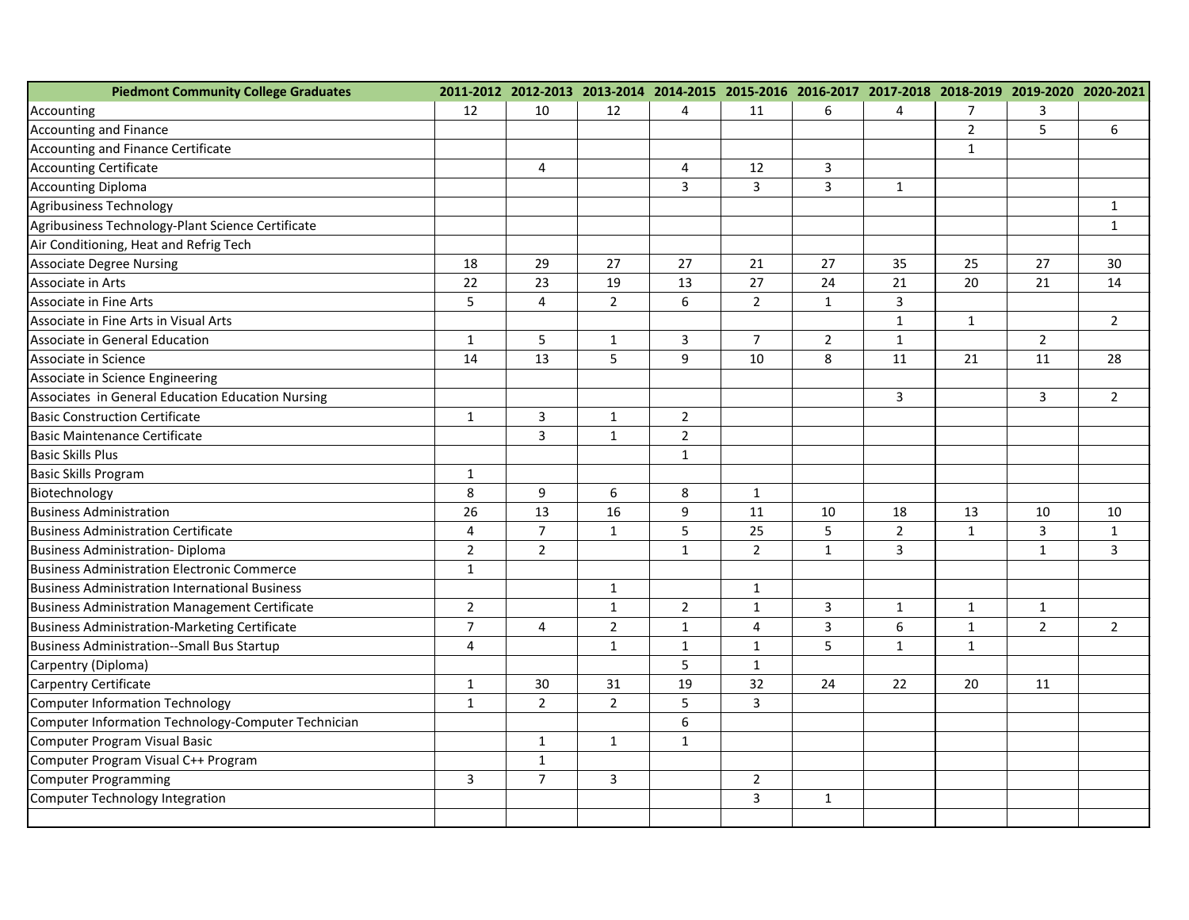| <b>Piedmont Community College Graduates</b>           |                |                |                |                | 2011-2012 2012-2013 2013-2014 2014-2015 2015-2016 2016-2017 2017-2018 2018-2019 2019-2020 2020-2021 |                |                         |                |                |                |
|-------------------------------------------------------|----------------|----------------|----------------|----------------|-----------------------------------------------------------------------------------------------------|----------------|-------------------------|----------------|----------------|----------------|
| Accounting                                            | 12             | 10             | 12             | 4              | 11                                                                                                  | 6              | 4                       | $\overline{7}$ | 3              |                |
| Accounting and Finance                                |                |                |                |                |                                                                                                     |                |                         | $\overline{2}$ | 5              | 6              |
| Accounting and Finance Certificate                    |                |                |                |                |                                                                                                     |                |                         | $\mathbf{1}$   |                |                |
| <b>Accounting Certificate</b>                         |                | $\overline{4}$ |                | 4              | 12                                                                                                  | 3              |                         |                |                |                |
| <b>Accounting Diploma</b>                             |                |                |                | 3              | 3                                                                                                   | 3              | $\mathbf{1}$            |                |                |                |
| <b>Agribusiness Technology</b>                        |                |                |                |                |                                                                                                     |                |                         |                |                | $\mathbf{1}$   |
| Agribusiness Technology-Plant Science Certificate     |                |                |                |                |                                                                                                     |                |                         |                |                | $\mathbf 1$    |
| Air Conditioning, Heat and Refrig Tech                |                |                |                |                |                                                                                                     |                |                         |                |                |                |
| <b>Associate Degree Nursing</b>                       | 18             | 29             | 27             | 27             | 21                                                                                                  | 27             | 35                      | 25             | 27             | 30             |
| Associate in Arts                                     | 22             | 23             | 19             | 13             | 27                                                                                                  | 24             | 21                      | 20             | 21             | 14             |
| Associate in Fine Arts                                | 5              | $\overline{4}$ | $\overline{2}$ | 6              | $\overline{2}$                                                                                      | $\mathbf{1}$   | 3                       |                |                |                |
| Associate in Fine Arts in Visual Arts                 |                |                |                |                |                                                                                                     |                | $\mathbf{1}$            | $\mathbf{1}$   |                | $\overline{2}$ |
| Associate in General Education                        | $\mathbf{1}$   | 5              | $\mathbf{1}$   | 3              | $\overline{7}$                                                                                      | $\overline{2}$ | $\mathbf{1}$            |                | $\overline{2}$ |                |
| Associate in Science                                  | 14             | 13             | 5              | 9              | 10                                                                                                  | 8              | 11                      | 21             | 11             | 28             |
| Associate in Science Engineering                      |                |                |                |                |                                                                                                     |                |                         |                |                |                |
| Associates in General Education Education Nursing     |                |                |                |                |                                                                                                     |                | $\overline{\mathbf{3}}$ |                | 3              | $2^{\circ}$    |
| <b>Basic Construction Certificate</b>                 | $\mathbf{1}$   | $\mathbf{3}$   | $\mathbf{1}$   | $\overline{2}$ |                                                                                                     |                |                         |                |                |                |
| Basic Maintenance Certificate                         |                | $\overline{3}$ | $\mathbf{1}$   | $\overline{2}$ |                                                                                                     |                |                         |                |                |                |
| <b>Basic Skills Plus</b>                              |                |                |                | $\mathbf{1}$   |                                                                                                     |                |                         |                |                |                |
| <b>Basic Skills Program</b>                           | $\mathbf{1}$   |                |                |                |                                                                                                     |                |                         |                |                |                |
| Biotechnology                                         | $\,8\,$        | 9              | $6\phantom{a}$ | 8              | $\mathbf{1}$                                                                                        |                |                         |                |                |                |
| <b>Business Administration</b>                        | 26             | 13             | 16             | 9              | 11                                                                                                  | 10             | 18                      | 13             | 10             | 10             |
| <b>Business Administration Certificate</b>            | $\overline{4}$ | $\overline{7}$ | $\mathbf{1}$   | 5              | 25                                                                                                  | 5              | $\overline{2}$          | $\mathbf{1}$   | 3              | $\mathbf{1}$   |
| <b>Business Administration- Diploma</b>               | $\overline{2}$ | $\overline{2}$ |                | $\mathbf{1}$   | $\overline{2}$                                                                                      | $\mathbf{1}$   | $\overline{3}$          |                | $\mathbf{1}$   | $\overline{3}$ |
| <b>Business Administration Electronic Commerce</b>    | $\mathbf{1}$   |                |                |                |                                                                                                     |                |                         |                |                |                |
| <b>Business Administration International Business</b> |                |                | $\mathbf{1}$   |                | $\mathbf{1}$                                                                                        |                |                         |                |                |                |
| <b>Business Administration Management Certificate</b> | $\overline{2}$ |                | $\mathbf{1}$   | $\overline{2}$ | $\mathbf{1}$                                                                                        | 3              | $\mathbf{1}$            | $\mathbf{1}$   | $\mathbf 1$    |                |
| <b>Business Administration-Marketing Certificate</b>  | $\overline{7}$ | 4              | $\overline{2}$ | $\mathbf{1}$   | 4                                                                                                   | 3              | 6                       | $\mathbf{1}$   | $\overline{2}$ | $2^{\circ}$    |
| <b>Business Administration--Small Bus Startup</b>     | $\overline{4}$ |                | $\mathbf{1}$   | $\mathbf{1}$   | $\mathbf{1}$                                                                                        | 5              | $\mathbf{1}$            | $\mathbf{1}$   |                |                |
| Carpentry (Diploma)                                   |                |                |                | 5              | $\mathbf{1}$                                                                                        |                |                         |                |                |                |
| Carpentry Certificate                                 | $\mathbf{1}$   | 30             | 31             | 19             | 32                                                                                                  | 24             | 22                      | 20             | 11             |                |
| <b>Computer Information Technology</b>                | $\mathbf{1}$   | $\overline{2}$ | $\overline{2}$ | 5              | 3                                                                                                   |                |                         |                |                |                |
| Computer Information Technology-Computer Technician   |                |                |                | 6              |                                                                                                     |                |                         |                |                |                |
| Computer Program Visual Basic                         |                | $\mathbf{1}$   | $\mathbf{1}$   | $\mathbf 1$    |                                                                                                     |                |                         |                |                |                |
| Computer Program Visual C++ Program                   |                | $\mathbf 1$    |                |                |                                                                                                     |                |                         |                |                |                |
| <b>Computer Programming</b>                           | 3              | $\overline{7}$ | 3              |                | $\overline{2}$                                                                                      |                |                         |                |                |                |
| <b>Computer Technology Integration</b>                |                |                |                |                | 3                                                                                                   | $\mathbf{1}$   |                         |                |                |                |
|                                                       |                |                |                |                |                                                                                                     |                |                         |                |                |                |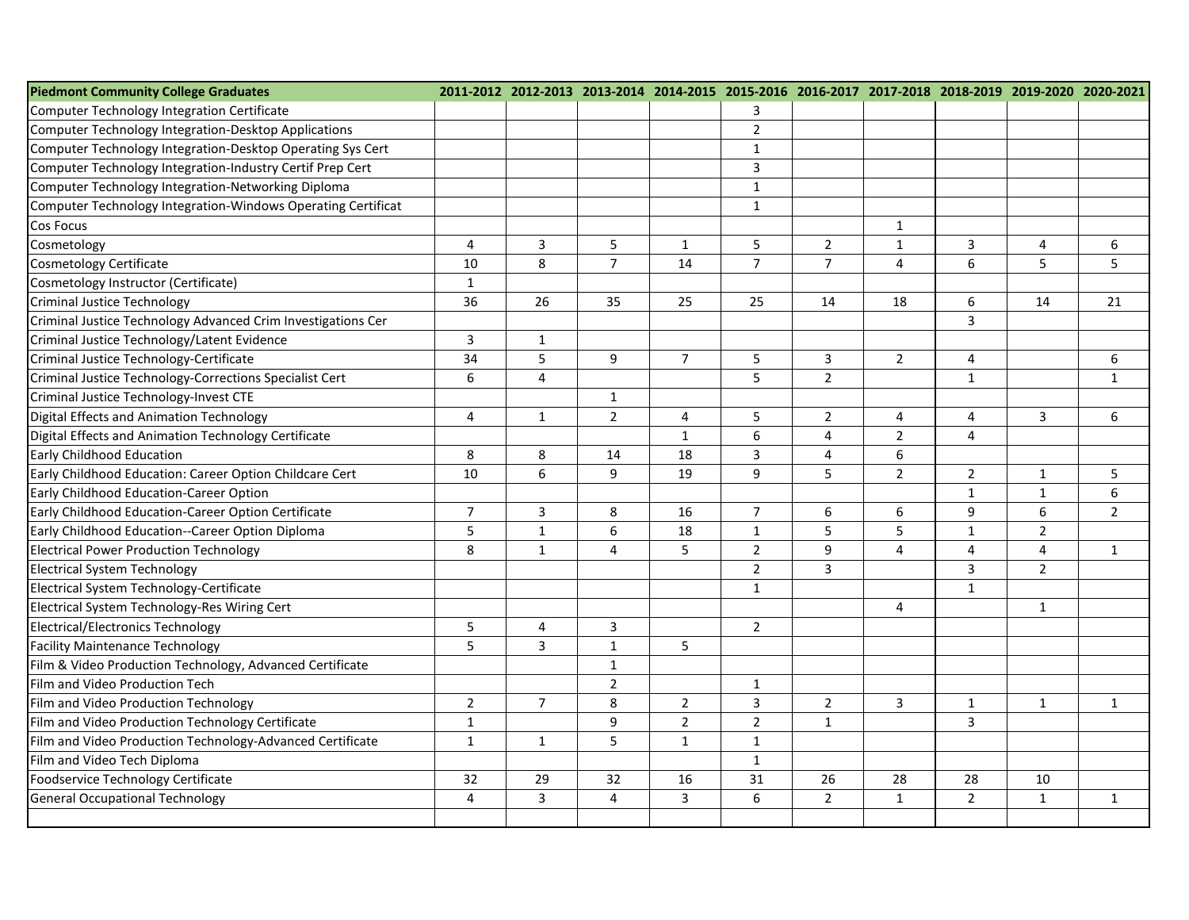| <b>Piedmont Community College Graduates</b>                  |                |                |                |                         | 2011-2012 2012-2013 2013-2014 2014-2015 2015-2016 2016-2017 2017-2018 2018-2019 2019-2020 2020-2021 |                |                |                |                |                |
|--------------------------------------------------------------|----------------|----------------|----------------|-------------------------|-----------------------------------------------------------------------------------------------------|----------------|----------------|----------------|----------------|----------------|
| Computer Technology Integration Certificate                  |                |                |                |                         | 3                                                                                                   |                |                |                |                |                |
| <b>Computer Technology Integration-Desktop Applications</b>  |                |                |                |                         | $\overline{2}$                                                                                      |                |                |                |                |                |
| Computer Technology Integration-Desktop Operating Sys Cert   |                |                |                |                         | $\mathbf{1}$                                                                                        |                |                |                |                |                |
| Computer Technology Integration-Industry Certif Prep Cert    |                |                |                |                         | $\overline{3}$                                                                                      |                |                |                |                |                |
| Computer Technology Integration-Networking Diploma           |                |                |                |                         | $\mathbf{1}$                                                                                        |                |                |                |                |                |
| Computer Technology Integration-Windows Operating Certificat |                |                |                |                         | $\mathbf{1}$                                                                                        |                |                |                |                |                |
| <b>Cos Focus</b>                                             |                |                |                |                         |                                                                                                     |                | $\mathbf{1}$   |                |                |                |
| Cosmetology                                                  | 4              | 3              | 5              | 1                       | 5                                                                                                   | $\overline{2}$ | $\mathbf{1}$   | 3              | 4              | 6              |
| <b>Cosmetology Certificate</b>                               | 10             | 8              | $\overline{7}$ | 14                      | $\overline{7}$                                                                                      | $\overline{7}$ | $\overline{4}$ | 6              | 5              | 5              |
| Cosmetology Instructor (Certificate)                         | $\mathbf{1}$   |                |                |                         |                                                                                                     |                |                |                |                |                |
| <b>Criminal Justice Technology</b>                           | 36             | 26             | 35             | 25                      | 25                                                                                                  | 14             | 18             | 6              | 14             | 21             |
| Criminal Justice Technology Advanced Crim Investigations Cer |                |                |                |                         |                                                                                                     |                |                | $\overline{3}$ |                |                |
| Criminal Justice Technology/Latent Evidence                  | 3              | $\mathbf{1}$   |                |                         |                                                                                                     |                |                |                |                |                |
| Criminal Justice Technology-Certificate                      | 34             | 5              | 9              | $\overline{7}$          | 5                                                                                                   | 3              | $\overline{2}$ | 4              |                | 6              |
| Criminal Justice Technology-Corrections Specialist Cert      | 6              | $\overline{4}$ |                |                         | 5                                                                                                   | $\overline{2}$ |                | $\mathbf{1}$   |                | $\mathbf{1}$   |
| Criminal Justice Technology-Invest CTE                       |                |                | $\mathbf{1}$   |                         |                                                                                                     |                |                |                |                |                |
| Digital Effects and Animation Technology                     | 4              | $\mathbf{1}$   | $\overline{2}$ | $\overline{4}$          | 5                                                                                                   | $\overline{2}$ | $\overline{4}$ | $\overline{4}$ | 3              | 6              |
| Digital Effects and Animation Technology Certificate         |                |                |                | $\mathbf{1}$            | 6                                                                                                   | $\overline{a}$ | $\overline{2}$ | 4              |                |                |
| <b>Early Childhood Education</b>                             | 8              | 8              | 14             | 18                      | $\mathbf{3}$                                                                                        | 4              | 6              |                |                |                |
| Early Childhood Education: Career Option Childcare Cert      | 10             | 6              | 9              | 19                      | 9                                                                                                   | 5              | $\overline{2}$ | $\overline{2}$ | $\mathbf{1}$   | 5              |
| Early Childhood Education-Career Option                      |                |                |                |                         |                                                                                                     |                |                | $\mathbf{1}$   | $\mathbf{1}$   | 6              |
| Early Childhood Education-Career Option Certificate          | $\overline{7}$ | $\mathbf{3}$   | 8              | 16                      | $\overline{7}$                                                                                      | 6              | 6              | 9              | 6              | $\overline{2}$ |
| Early Childhood Education--Career Option Diploma             | 5              | $\mathbf{1}$   | 6              | 18                      | $\mathbf{1}$                                                                                        | 5              | 5              | $\mathbf{1}$   | $\overline{2}$ |                |
| <b>Electrical Power Production Technology</b>                | 8              | $\mathbf{1}$   | $\overline{4}$ | 5                       | $\overline{2}$                                                                                      | 9              | 4              | $\overline{4}$ | 4              | $\mathbf{1}$   |
| <b>Electrical System Technology</b>                          |                |                |                |                         | $\overline{2}$                                                                                      | $\overline{3}$ |                | $\overline{3}$ | $\overline{2}$ |                |
| Electrical System Technology-Certificate                     |                |                |                |                         | $\mathbf{1}$                                                                                        |                |                | $\mathbf{1}$   |                |                |
| Electrical System Technology-Res Wiring Cert                 |                |                |                |                         |                                                                                                     |                | 4              |                | $\mathbf{1}$   |                |
| <b>Electrical/Electronics Technology</b>                     | 5              | 4              | $\overline{3}$ |                         | $\overline{2}$                                                                                      |                |                |                |                |                |
| <b>Facility Maintenance Technology</b>                       | 5              | $\overline{3}$ | $\mathbf{1}$   | 5                       |                                                                                                     |                |                |                |                |                |
| Film & Video Production Technology, Advanced Certificate     |                |                | $\mathbf{1}$   |                         |                                                                                                     |                |                |                |                |                |
| Film and Video Production Tech                               |                |                | $\overline{2}$ |                         | $\mathbf{1}$                                                                                        |                |                |                |                |                |
| Film and Video Production Technology                         | $\overline{2}$ | $\overline{7}$ | 8              | $\sqrt{2}$              | $\overline{3}$                                                                                      | $\overline{2}$ | $\overline{3}$ | $\mathbf{1}$   | $\mathbf{1}$   | $\mathbf{1}$   |
| Film and Video Production Technology Certificate             | $\mathbf{1}$   |                | 9              | $\overline{2}$          | $\overline{2}$                                                                                      | $\mathbf{1}$   |                | $\mathbf{3}$   |                |                |
| Film and Video Production Technology-Advanced Certificate    | $\mathbf{1}$   | $\mathbf{1}$   | 5              | $\mathbf{1}$            | $\mathbf 1$                                                                                         |                |                |                |                |                |
| Film and Video Tech Diploma                                  |                |                |                |                         | $\mathbf{1}$                                                                                        |                |                |                |                |                |
| Foodservice Technology Certificate                           | 32             | 29             | 32             | 16                      | 31                                                                                                  | 26             | 28             | 28             | 10             |                |
| <b>General Occupational Technology</b>                       | 4              | $\overline{3}$ | $\overline{4}$ | $\overline{\mathbf{3}}$ | 6                                                                                                   | $\overline{2}$ | $\mathbf{1}$   | $\overline{2}$ | $\mathbf 1$    | $\mathbf{1}$   |
|                                                              |                |                |                |                         |                                                                                                     |                |                |                |                |                |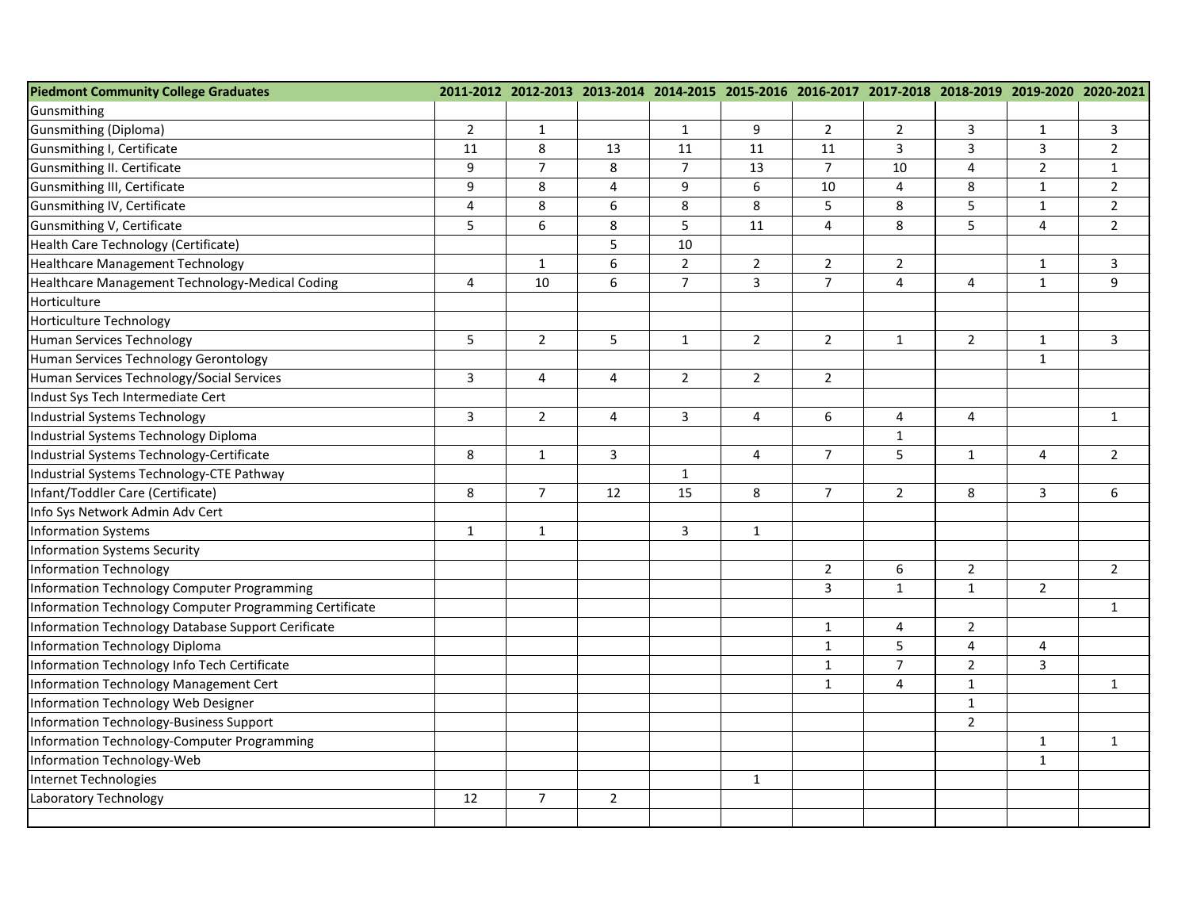| <b>Piedmont Community College Graduates</b>             |                |                  |                |                | 2011-2012 2012-2013 2013-2014 2014-2015 2015-2016 2016-2017 2017-2018 2018-2019 2019-2020 2020-2021 |                |                |                |                |                |
|---------------------------------------------------------|----------------|------------------|----------------|----------------|-----------------------------------------------------------------------------------------------------|----------------|----------------|----------------|----------------|----------------|
| Gunsmithing                                             |                |                  |                |                |                                                                                                     |                |                |                |                |                |
| Gunsmithing (Diploma)                                   | $\overline{2}$ | $\mathbf{1}$     |                | $\mathbf{1}$   | 9                                                                                                   | $\overline{2}$ | $\overline{2}$ | 3              | $\mathbf{1}$   | 3              |
| Gunsmithing I, Certificate                              | 11             | 8                | 13             | 11             | 11                                                                                                  | 11             | 3              | 3              | 3              | $\overline{2}$ |
| Gunsmithing II. Certificate                             | 9              | $\overline{7}$   | 8              | $\overline{7}$ | 13                                                                                                  | $\overline{7}$ | 10             | $\overline{4}$ | $\overline{2}$ | $\mathbf{1}$   |
| Gunsmithing III, Certificate                            | $9\,$          | 8                | $\overline{4}$ | 9              | $\boldsymbol{6}$                                                                                    | 10             | 4              | 8              | $\mathbf 1$    | $2^{\circ}$    |
| Gunsmithing IV, Certificate                             | 4              | 8                | 6              | 8              | 8                                                                                                   | 5              | 8              | 5              | $\mathbf{1}$   | $2^{\circ}$    |
| Gunsmithing V, Certificate                              | 5              | $\boldsymbol{6}$ | 8              | 5              | 11                                                                                                  | $\overline{4}$ | 8              | 5              | 4              | $\overline{2}$ |
| Health Care Technology (Certificate)                    |                |                  | 5              | 10             |                                                                                                     |                |                |                |                |                |
| <b>Healthcare Management Technology</b>                 |                | $\mathbf{1}$     | 6              | $\overline{2}$ | $\overline{2}$                                                                                      | $\overline{2}$ | $\overline{2}$ |                | $\mathbf 1$    | 3              |
| Healthcare Management Technology-Medical Coding         | $\overline{4}$ | 10               | 6              | $\overline{7}$ | $\overline{3}$                                                                                      | $\overline{7}$ | $\overline{4}$ | $\overline{4}$ | $\mathbf{1}$   | 9              |
| Horticulture                                            |                |                  |                |                |                                                                                                     |                |                |                |                |                |
| <b>Horticulture Technology</b>                          |                |                  |                |                |                                                                                                     |                |                |                |                |                |
| <b>Human Services Technology</b>                        | 5              | $\overline{2}$   | 5              | $\mathbf{1}$   | $\overline{2}$                                                                                      | $\overline{2}$ | $\mathbf{1}$   | $2^{\circ}$    | $\mathbf 1$    | 3              |
| Human Services Technology Gerontology                   |                |                  |                |                |                                                                                                     |                |                |                | $\mathbf 1$    |                |
| Human Services Technology/Social Services               | $\overline{3}$ | $\overline{4}$   | $\overline{4}$ | $\overline{2}$ | $\overline{2}$                                                                                      | $\overline{2}$ |                |                |                |                |
| Indust Sys Tech Intermediate Cert                       |                |                  |                |                |                                                                                                     |                |                |                |                |                |
| Industrial Systems Technology                           | 3              | $2^{\circ}$      | 4              | 3              | 4                                                                                                   | 6              | 4              | $\overline{4}$ |                | $\mathbf{1}$   |
| Industrial Systems Technology Diploma                   |                |                  |                |                |                                                                                                     |                | $\mathbf{1}$   |                |                |                |
| Industrial Systems Technology-Certificate               | 8              | $\mathbf{1}$     | $\overline{3}$ |                | 4                                                                                                   | $\overline{7}$ | 5              | $\mathbf{1}$   | 4              | $2^{\circ}$    |
| Industrial Systems Technology-CTE Pathway               |                |                  |                | $\mathbf{1}$   |                                                                                                     |                |                |                |                |                |
| Infant/Toddler Care (Certificate)                       | $\,8\,$        | $\overline{7}$   | 12             | 15             | 8                                                                                                   | $\overline{7}$ | $\overline{2}$ | 8              | 3              | 6              |
| Info Sys Network Admin Adv Cert                         |                |                  |                |                |                                                                                                     |                |                |                |                |                |
| <b>Information Systems</b>                              | $\mathbf{1}$   | $\mathbf{1}$     |                | 3              | $\mathbf{1}$                                                                                        |                |                |                |                |                |
| <b>Information Systems Security</b>                     |                |                  |                |                |                                                                                                     |                |                |                |                |                |
| <b>Information Technology</b>                           |                |                  |                |                |                                                                                                     | $\overline{2}$ | 6              | $2^{\circ}$    |                | $2^{\circ}$    |
| Information Technology Computer Programming             |                |                  |                |                |                                                                                                     | 3              | $\mathbf{1}$   | $\mathbf{1}$   | $\overline{2}$ |                |
| Information Technology Computer Programming Certificate |                |                  |                |                |                                                                                                     |                |                |                |                | $\mathbf{1}$   |
| Information Technology Database Support Cerificate      |                |                  |                |                |                                                                                                     | $\mathbf{1}$   | 4              | $\overline{2}$ |                |                |
| Information Technology Diploma                          |                |                  |                |                |                                                                                                     | $\mathbf{1}$   | 5              | $\overline{4}$ | 4              |                |
| Information Technology Info Tech Certificate            |                |                  |                |                |                                                                                                     | $\mathbf{1}$   | $\overline{7}$ | $\overline{2}$ | 3              |                |
| Information Technology Management Cert                  |                |                  |                |                |                                                                                                     | $\mathbf{1}$   | 4              | $\mathbf{1}$   |                | $\mathbf{1}$   |
| Information Technology Web Designer                     |                |                  |                |                |                                                                                                     |                |                | $\mathbf{1}$   |                |                |
| Information Technology-Business Support                 |                |                  |                |                |                                                                                                     |                |                | $\overline{2}$ |                |                |
| Information Technology-Computer Programming             |                |                  |                |                |                                                                                                     |                |                |                | $\mathbf 1$    | $\mathbf{1}$   |
| Information Technology-Web                              |                |                  |                |                |                                                                                                     |                |                |                | $\mathbf 1$    |                |
| Internet Technologies                                   |                |                  |                |                | $\mathbf{1}$                                                                                        |                |                |                |                |                |
| Laboratory Technology                                   | 12             | $\overline{7}$   | $\overline{2}$ |                |                                                                                                     |                |                |                |                |                |
|                                                         |                |                  |                |                |                                                                                                     |                |                |                |                |                |